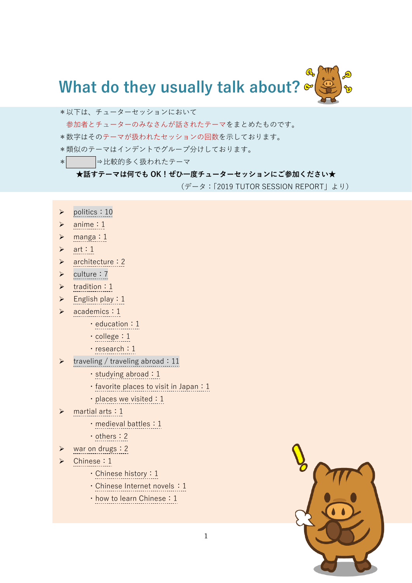

- \*以下は、チューターセッションにおいて
- 参加者とチューターのみなさんが話されたテーマをまとめたものです。
- \*数字はそのテーマが扱われたセッションの回数を示しております。
- \*類似のテーマはインデントでグループ分けしております。
- \* →比較的多く扱われたテーマ

## **★話すテーマは何でも OK!ぜひ一度チューターセッションにご参加ください★**

(データ:「2019 TUTOR SESSION REPORT」より)

- ➢ politics:10
- ➢ anime:1
- ➢ manga:1
- $\triangleright$  art: 1
- ➢ architecture:2
- ➢ culture:7
- ➢ tradition:1
- $\triangleright$  English play: 1
- ➢ academics:1
	- ・education:1
	- ・college:1
	- ・research:1
- traveling / traveling abroad: 11
	- ・studying abroad:1
	- ・favorite places to visit in Japan:1
	- · places we visited: 1
- ➢ martial arts:1
	- ・medieval battles:1
	- ・others:2
- ➢ war on drugs:2
- ➢ Chinese:1
	- ・Chinese history:1
	- · Chinese Internet novels: 1
	- ・how to learn Chinese:1

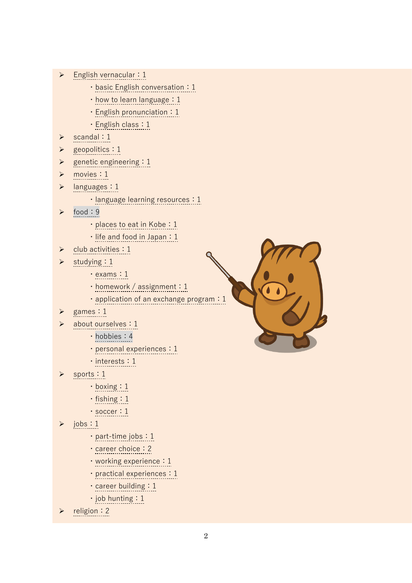- $\triangleright$  English vernacular : 1
	- $\cdot$  basic English conversation: 1
	- ・how to learn language:1
	- ・English pronunciation:1
	- ・English class:1
- ➢ scandal:1
- ➢ geopolitics:1
- $\triangleright$  genetic engineering : 1
- ➢ movies:1
- ➢ languages:1
	- · language learning resources : 1
- ➢ food:9
	- · places to eat in Kobe: 1
	- ・life and food in Japan:1
- ➢ club activities:1
- studying: 1
	- ・exams:1
	- $\cdot$  homework / assignment : 1
	- · application of an exchange program : 1
- ➢ games:1
- about ourselves: 1
	- ・hobbies:4
	- · personal experiences : 1
	- ・interests:1
- sports: 1
	- ・boxing:1
	- ・fishing:1
	- ・soccer:1
- $\triangleright$  jobs : 1
	- ・part-time jobs:1
	- career choice : 2
	- working experience: 1
	- · practical experiences : 1
	- ・career building:1
	- ・job hunting:1
- religion: 2